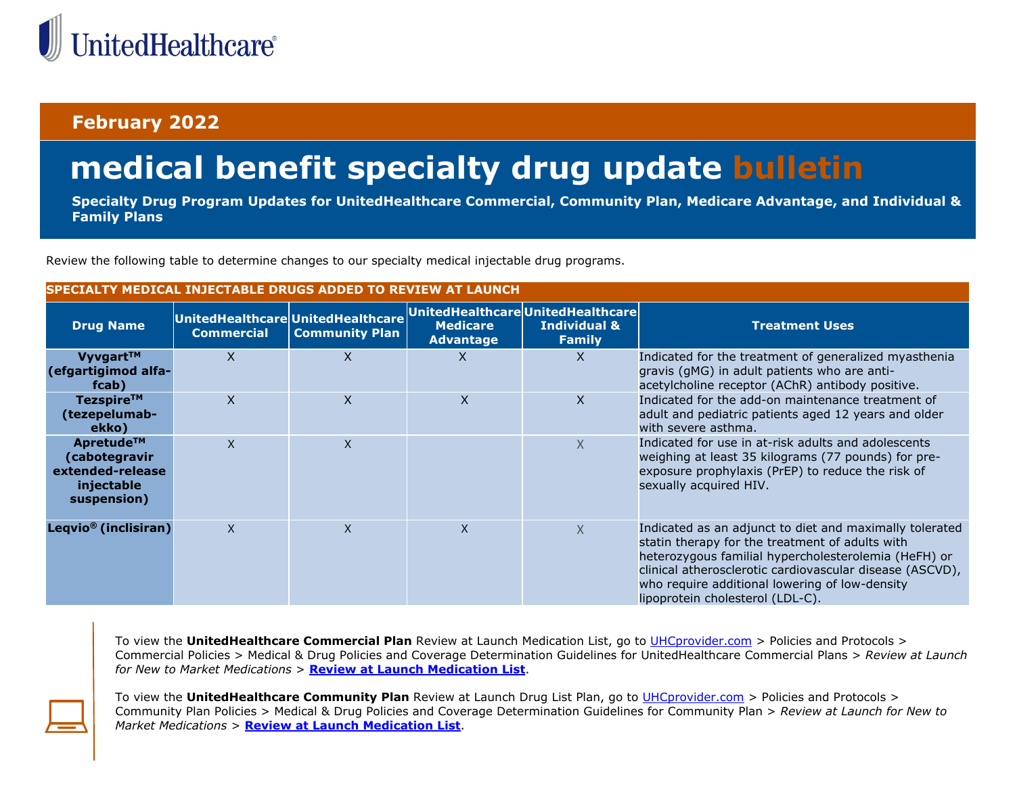

## **February 2022**

## **medical benefit specialty drug update bulletin**

**Specialty Drug Program Updates for UnitedHealthcare Commercial, Community Plan, Medicare Advantage, and Individual & Family Plans**

Review the following table to determine changes to our specialty medical injectable drug programs.

|  | SPECIALTY MEDICAL INJECTABLE DRUGS ADDED TO REVIEW AT LAUNCH |  |
|--|--------------------------------------------------------------|--|
|--|--------------------------------------------------------------|--|

| <b>Drug Name</b>                                                            | <b>Commercial</b> | UnitedHealthcare UnitedHealthcare<br><b>Community Plan</b> | <b>Medicare</b><br><b>Advantage</b> | UnitedHealthcareUnitedHealthcare<br><b>Individual &amp;</b><br><b>Family</b> | <b>Treatment Uses</b>                                                                                                                                                                                                                                                                                                |
|-----------------------------------------------------------------------------|-------------------|------------------------------------------------------------|-------------------------------------|------------------------------------------------------------------------------|----------------------------------------------------------------------------------------------------------------------------------------------------------------------------------------------------------------------------------------------------------------------------------------------------------------------|
| $Vyvgart^{TM}$<br>(efgartigimod alfa-<br>fcab)                              | X                 | X                                                          | X                                   | X                                                                            | Indicated for the treatment of generalized myasthenia<br>gravis (gMG) in adult patients who are anti-<br>acetylcholine receptor (AChR) antibody positive.                                                                                                                                                            |
| Tezspire™<br>(tezepelumab-<br>ekko)                                         | X                 | $\mathsf{X}$                                               | X.                                  | X                                                                            | Indicated for the add-on maintenance treatment of<br>adult and pediatric patients aged 12 years and older<br>with severe asthma.                                                                                                                                                                                     |
| Apretude™<br>(cabotegravir<br>extended-release<br>injectable<br>suspension) | X                 | X                                                          |                                     | $\times$                                                                     | Indicated for use in at-risk adults and adolescents<br>weighing at least 35 kilograms (77 pounds) for pre-<br>exposure prophylaxis (PrEP) to reduce the risk of<br>sexually acquired HIV.                                                                                                                            |
| Leqvio <sup>®</sup> (inclisiran)                                            | X                 | $\mathsf{x}$                                               | X                                   | $\times$                                                                     | Indicated as an adjunct to diet and maximally tolerated<br>statin therapy for the treatment of adults with<br>heterozygous familial hypercholesterolemia (HeFH) or<br>clinical atherosclerotic cardiovascular disease (ASCVD),<br>who require additional lowering of low-density<br>lipoprotein cholesterol (LDL-C). |

To view the **UnitedHealthcare Commercial Plan** Review at Launch Medication List, go to [UHCprovider.com](https://www.uhcprovider.com/en/policies-protocols/commercial-policies/commercial-medical-drug-policies.html) > Policies and Protocols > Commercial Policies > Medical & Drug Policies and Coverage Determination Guidelines for UnitedHealthcare Commercial Plans > *Review at Launch for New to Market Medications* > **[Review at Launch Medication List](https://www.uhcprovider.com/content/dam/provider/docs/public/policies/attachments/review-at-launch-medication-list.pdf)**.

To view the **UnitedHealthcare Community Plan** Review at Launch Drug List Plan, go to [UHCprovider.com](https://www.uhcprovider.com/en/policies-protocols/commercial-policies/commercial-medical-drug-policies.html) > Policies and Protocols > Community Plan Policies > Medical & Drug Policies and Coverage Determination Guidelines for Community Plan > *Review at Launch for New to Market Medications* > **[Review at Launch Medication List](https://www.uhcprovider.com/content/dam/provider/docs/public/policies/attachments/comm-plan/review-at-launch-medication-list-cs.pdf)**.